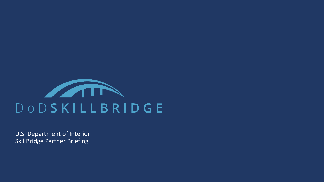

U.S. Department of Interior SkillBridge Partner Briefing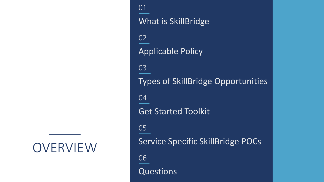OVERVIEW

What is SkillBridge 01 Types of SkillBridge Opportunities 03 Get Started Toolkit 04 Service Specific SkillBridge POCs 05 Questions 06 Applicable Policy 02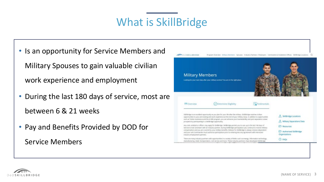## What is SkillBridge

• Is an opportunity for Service Members and

Military Spouses to gain valuable civilian

work experience and employment

- During the last 180 days of service, most are between 6 & 21 weeks
- Pay and Benefits Provided by DOD for Service Members



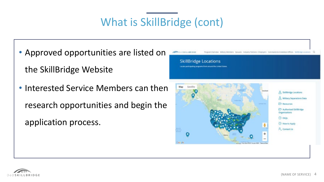# What is SkillBridge (cont)

- Approved opportunities are listed on the SkillBridge Website
- Interested Service Members can then research opportunities and begin the application process.



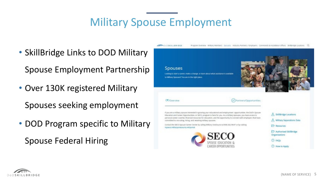## Military Spouse Employment

- SkillBridge Links to DOD Military Spouse Employment Partnership
- Over 130K registered Military

Spouses seeking employment

• DOD Program specific to Military Spouse Federal Hiring



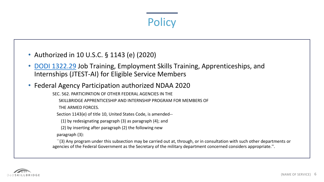# **Policy**

- Authorized in 10 U.S.C. § 1143 (e) (2020)
- [DODI 1322.29](https://www.esd.whs.mil/Portals/54/Documents/DD/issuances/dodi/132229p.pdf) Job Training, Employment Skills Training, Apprenticeships, and Internships (JTEST-AI) for Eligible Service Members
- Federal Agency Participation authorized NDAA 2020
	- SEC. 562. PARTICIPATION OF OTHER FEDERAL AGENCIES IN THE
		- SKILLBRIDGE APPRENTICESHIP AND INTERNSHIP PROGRAM FOR MEMBERS OF
		- THE ARMED FORCES.
		- Section 1143(e) of title 10, United States Code, is amended--
			- (1) by redesignating paragraph (3) as paragraph (4); and
			- (2) by inserting after paragraph (2) the following new
		- paragraph (3):
	- ``(3) Any program under this subsection may be carried out at, through, or in consultation with such other departments or agencies of the Federal Government as the Secretary of the military department concerned considers appropriate.''.

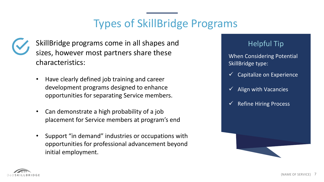# Types of SkillBridge Programs



SkillBridge programs come in all shapes and sizes, however most partners share these characteristics:

- Have clearly defined job training and career development programs designed to enhance opportunities for separating Service members.
- Can demonstrate a high probability of a job placement for Service members at program's end
- Support "in demand" industries or occupations with opportunities for professional advancement beyond initial employment.

#### Helpful Tip

When Considering Potential SkillBridge type:

- Capitalize on Experience
- $\checkmark$  Align with Vacancies
- $\checkmark$  Refine Hiring Process

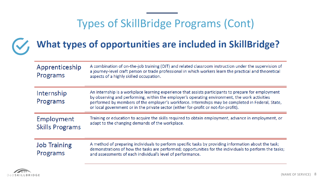## Types of SkillBridge Programs (Cont)



# What types of opportunities are included in SkillBridge?

| Apprenticeship<br>Programs           | A combination of on-the-job training (OJT) and related classroom instruction under the supervision of<br>a journey-level craft person or trade professional in which workers learn the practical and theoretical<br>aspects of a highly skilled occupation.                                                                                                                                       |
|--------------------------------------|---------------------------------------------------------------------------------------------------------------------------------------------------------------------------------------------------------------------------------------------------------------------------------------------------------------------------------------------------------------------------------------------------|
| Internship<br>Programs               | An internship is a workplace learning experience that assists participants to prepare for employment<br>by observing and performing, within the employer's operating environment, the work activities<br>performed by members of the employer's workforce. Internships may be completed in Federal, State,<br>or local government or in the private sector (either for-profit or not-for-profit). |
| Employment<br><b>Skills Programs</b> | Training or education to acquire the skills required to obtain employment, advance in employment, or<br>adapt to the changing demands of the workplace.                                                                                                                                                                                                                                           |
| <b>Job Training</b><br>Programs      | A method of preparing individuals to perform specific tasks by providing information about the task;<br>demonstrations of how the tasks are performed; opportunities for the individuals to perform the tasks;<br>and assessments of each individual's level of performance.                                                                                                                      |

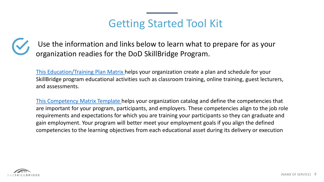### Getting Started Tool Kit



Use the information and links below to learn what to prepare for as your organization readies for the DoD SkillBridge Program.

[This Education/Training Plan Matrix h](https://dodskillbridge.usalearning.gov/docs/toolkit/02_DoD_SkillBridge_Training_Plan_20-Jan-21.xlsx)elps your organization create a plan and schedule for your SkillBridge program educational activities such as classroom training, online training, guest lecturers, and assessments.

[This Competency Matrix Template h](https://dodskillbridge.usalearning.gov/docs/toolkit/03_DoD_SkillBridge_Competency_Matrix.xlsx)elps your organization catalog and define the competencies that are important for your program, participants, and employers. These competencies align to the job role requirements and expectations for which you are training your participants so they can graduate and gain employment. Your program will better meet your employment goals if you align the defined competencies to the learning objectives from each educational asset during its delivery or execution

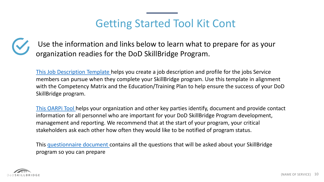### Getting Started Tool Kit Cont

Use the information and links below to learn what to prepare for as your organization readies for the DoD SkillBridge Program.

[This Job Description Template h](https://dodskillbridge.usalearning.gov/docs/toolkit/04_DoD_SkillBridge_Job%20Description_Template.docx)elps you create a job description and profile for the jobs Service members can pursue when they complete your SkillBridge program. Use this template in alignment with the Competency Matrix and the Education/Training Plan to help ensure the success of your DoD SkillBridge program.

[This OARPi](https://dodskillbridge.usalearning.gov/docs/toolkit/01_DoD_SkillBridge_OARPi.xlsx) Tool helps your organization and other key parties identify, document and provide contact information for all personnel who are important for your DoD SkillBridge Program development, management and reporting. We recommend that at the start of your program, your critical stakeholders ask each other how often they would like to be notified of program status.

This [questionnaire document c](https://dodskillbridge.usalearning.gov/docs/DoD-SkillBridge-Industry-Partner-questionnaire-2020Mar.pdf)ontains all the questions that will be asked about your SkillBridge program so you can prepare

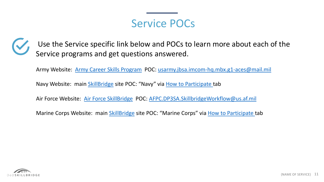#### Service POCs



Use the Service specific link below and POCs to learn more about each of the Service programs and get questions answered.

Army Website: [Army Career Skills Program](https://home.army.mil/imcom/index.php/customers/career-skills-program) POC: [usarmy.jbsa.imcom-hq.mbx.g1-aces@mail.mil](mailto:usarmy.jbsa.imcom-hq.mbx.g1-aces@mail.mil)

Navy Website: main *[SkillBridge](https://dodskillbridge.usalearning.gov/industry-employers.htm?tab=3#tab-3)* site POC: "Navy" via [How to Participate](https://dodskillbridge.usalearning.gov/industry-employers.htm?tab=3#tab-3) tab

Air Force Website: [Air Force SkillBridge](https://afvec.us.af.mil/afvec/skillbridge/welcome) POC: [AFPC.DP3SA.SkillbridgeWorkflow@us.af.mil](mailto:AFPC.DP3SA.SkillbridgeWorkflow@us.af.mil)

Marine Corps Website: main [SkillBridge](https://dodskillbridge.usalearning.gov/industry-employers.htm?tab=3#tab-3) site POC: "Marine Corps" via [How to Participate t](https://dodskillbridge.usalearning.gov/industry-employers.htm?tab=3#tab-3)ab